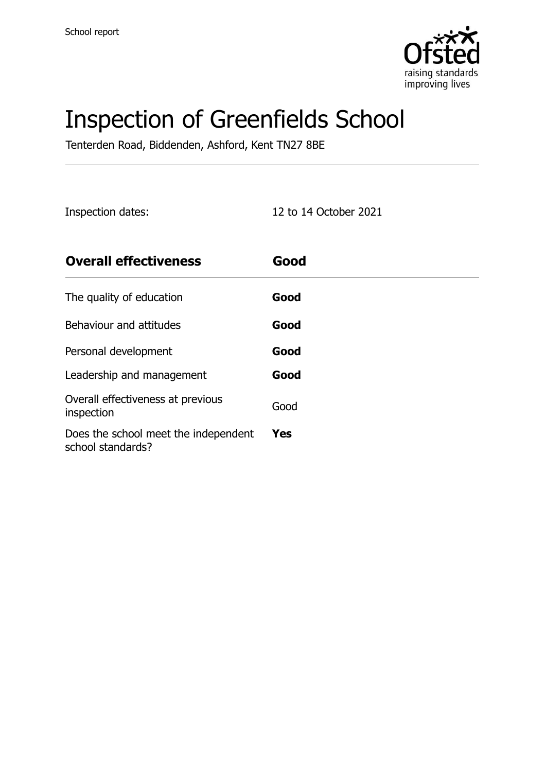

# Inspection of Greenfields School

Tenterden Road, Biddenden, Ashford, Kent TN27 8BE

Inspection dates: 12 to 14 October 2021

| <b>Overall effectiveness</b>                              | Good       |
|-----------------------------------------------------------|------------|
| The quality of education                                  | Good       |
| Behaviour and attitudes                                   | Good       |
| Personal development                                      | Good       |
| Leadership and management                                 | Good       |
| Overall effectiveness at previous<br>inspection           | Good       |
| Does the school meet the independent<br>school standards? | <b>Yes</b> |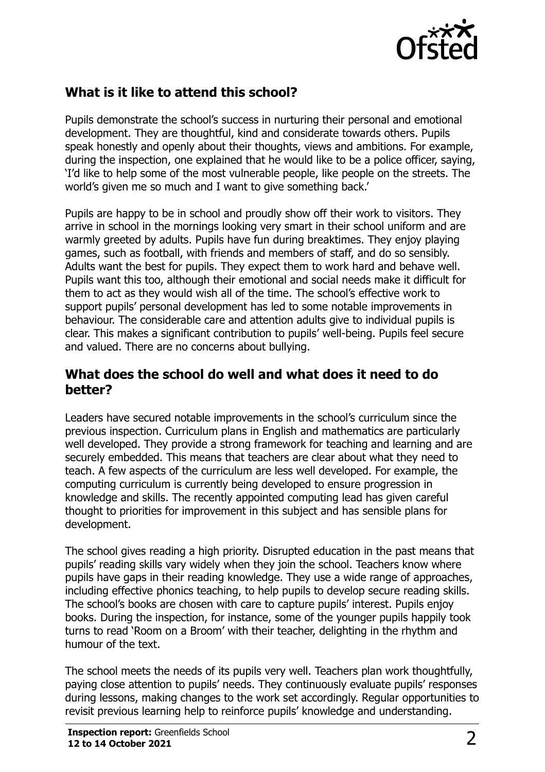

## **What is it like to attend this school?**

Pupils demonstrate the school's success in nurturing their personal and emotional development. They are thoughtful, kind and considerate towards others. Pupils speak honestly and openly about their thoughts, views and ambitions. For example, during the inspection, one explained that he would like to be a police officer, saying, 'I'd like to help some of the most vulnerable people, like people on the streets. The world's given me so much and I want to give something back.'

Pupils are happy to be in school and proudly show off their work to visitors. They arrive in school in the mornings looking very smart in their school uniform and are warmly greeted by adults. Pupils have fun during breaktimes. They enjoy playing games, such as football, with friends and members of staff, and do so sensibly. Adults want the best for pupils. They expect them to work hard and behave well. Pupils want this too, although their emotional and social needs make it difficult for them to act as they would wish all of the time. The school's effective work to support pupils' personal development has led to some notable improvements in behaviour. The considerable care and attention adults give to individual pupils is clear. This makes a significant contribution to pupils' well-being. Pupils feel secure and valued. There are no concerns about bullying.

## **What does the school do well and what does it need to do better?**

Leaders have secured notable improvements in the school's curriculum since the previous inspection. Curriculum plans in English and mathematics are particularly well developed. They provide a strong framework for teaching and learning and are securely embedded. This means that teachers are clear about what they need to teach. A few aspects of the curriculum are less well developed. For example, the computing curriculum is currently being developed to ensure progression in knowledge and skills. The recently appointed computing lead has given careful thought to priorities for improvement in this subject and has sensible plans for development.

The school gives reading a high priority. Disrupted education in the past means that pupils' reading skills vary widely when they join the school. Teachers know where pupils have gaps in their reading knowledge. They use a wide range of approaches, including effective phonics teaching, to help pupils to develop secure reading skills. The school's books are chosen with care to capture pupils' interest. Pupils enjoy books. During the inspection, for instance, some of the younger pupils happily took turns to read 'Room on a Broom' with their teacher, delighting in the rhythm and humour of the text.

The school meets the needs of its pupils very well. Teachers plan work thoughtfully, paying close attention to pupils' needs. They continuously evaluate pupils' responses during lessons, making changes to the work set accordingly. Regular opportunities to revisit previous learning help to reinforce pupils' knowledge and understanding.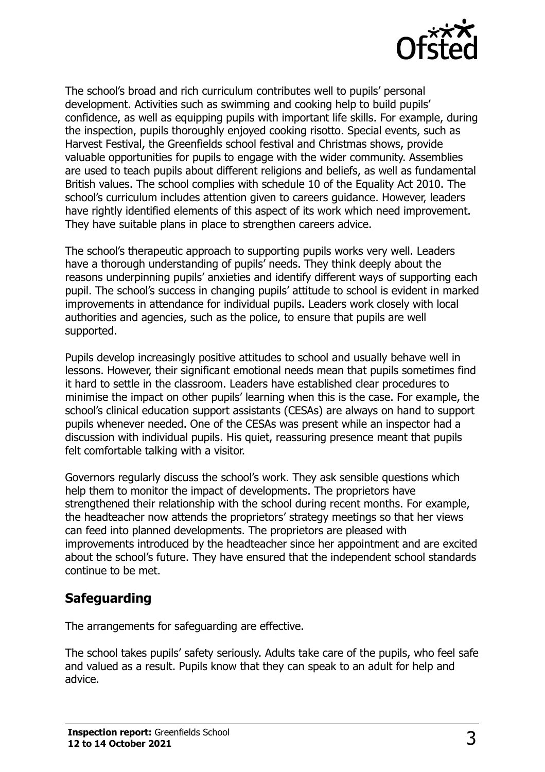

The school's broad and rich curriculum contributes well to pupils' personal development. Activities such as swimming and cooking help to build pupils' confidence, as well as equipping pupils with important life skills. For example, during the inspection, pupils thoroughly enjoyed cooking risotto. Special events, such as Harvest Festival, the Greenfields school festival and Christmas shows, provide valuable opportunities for pupils to engage with the wider community. Assemblies are used to teach pupils about different religions and beliefs, as well as fundamental British values. The school complies with schedule 10 of the Equality Act 2010. The school's curriculum includes attention given to careers guidance. However, leaders have rightly identified elements of this aspect of its work which need improvement. They have suitable plans in place to strengthen careers advice.

The school's therapeutic approach to supporting pupils works very well. Leaders have a thorough understanding of pupils' needs. They think deeply about the reasons underpinning pupils' anxieties and identify different ways of supporting each pupil. The school's success in changing pupils' attitude to school is evident in marked improvements in attendance for individual pupils. Leaders work closely with local authorities and agencies, such as the police, to ensure that pupils are well supported.

Pupils develop increasingly positive attitudes to school and usually behave well in lessons. However, their significant emotional needs mean that pupils sometimes find it hard to settle in the classroom. Leaders have established clear procedures to minimise the impact on other pupils' learning when this is the case. For example, the school's clinical education support assistants (CESAs) are always on hand to support pupils whenever needed. One of the CESAs was present while an inspector had a discussion with individual pupils. His quiet, reassuring presence meant that pupils felt comfortable talking with a visitor.

Governors regularly discuss the school's work. They ask sensible questions which help them to monitor the impact of developments. The proprietors have strengthened their relationship with the school during recent months. For example, the headteacher now attends the proprietors' strategy meetings so that her views can feed into planned developments. The proprietors are pleased with improvements introduced by the headteacher since her appointment and are excited about the school's future. They have ensured that the independent school standards continue to be met.

## **Safeguarding**

The arrangements for safeguarding are effective.

The school takes pupils' safety seriously. Adults take care of the pupils, who feel safe and valued as a result. Pupils know that they can speak to an adult for help and advice.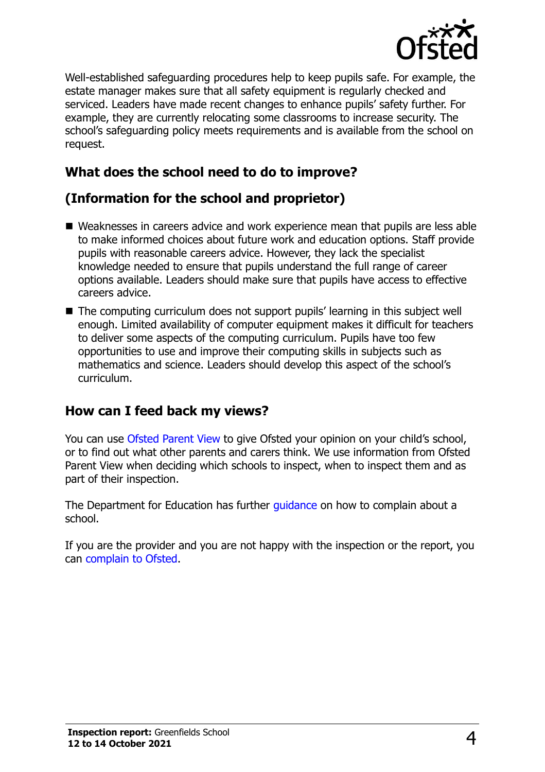

Well-established safeguarding procedures help to keep pupils safe. For example, the estate manager makes sure that all safety equipment is regularly checked and serviced. Leaders have made recent changes to enhance pupils' safety further. For example, they are currently relocating some classrooms to increase security. The school's safeguarding policy meets requirements and is available from the school on request.

## **What does the school need to do to improve?**

## **(Information for the school and proprietor)**

- Weaknesses in careers advice and work experience mean that pupils are less able to make informed choices about future work and education options. Staff provide pupils with reasonable careers advice. However, they lack the specialist knowledge needed to ensure that pupils understand the full range of career options available. Leaders should make sure that pupils have access to effective careers advice.
- The computing curriculum does not support pupils' learning in this subject well enough. Limited availability of computer equipment makes it difficult for teachers to deliver some aspects of the computing curriculum. Pupils have too few opportunities to use and improve their computing skills in subjects such as mathematics and science. Leaders should develop this aspect of the school's curriculum.

### **How can I feed back my views?**

You can use [Ofsted Parent View](http://parentview.ofsted.gov.uk/) to give Ofsted your opinion on your child's school, or to find out what other parents and carers think. We use information from Ofsted Parent View when deciding which schools to inspect, when to inspect them and as part of their inspection.

The Department for Education has further quidance on how to complain about a school.

If you are the provider and you are not happy with the inspection or the report, you can [complain to Ofsted.](http://www.gov.uk/complain-ofsted-report)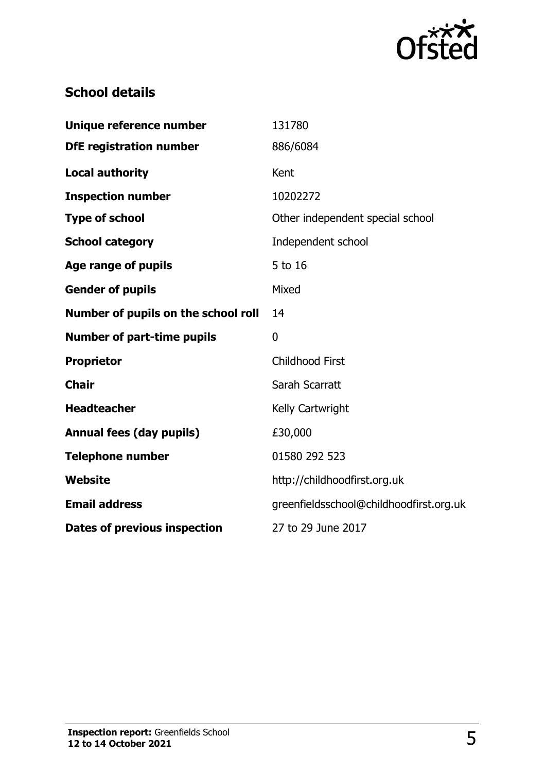

## **School details**

| Unique reference number             | 131780                                  |
|-------------------------------------|-----------------------------------------|
| <b>DfE registration number</b>      | 886/6084                                |
| <b>Local authority</b>              | Kent                                    |
| <b>Inspection number</b>            | 10202272                                |
| <b>Type of school</b>               | Other independent special school        |
| <b>School category</b>              | Independent school                      |
| <b>Age range of pupils</b>          | 5 to 16                                 |
| <b>Gender of pupils</b>             | Mixed                                   |
| Number of pupils on the school roll | 14                                      |
| <b>Number of part-time pupils</b>   | $\mathbf{0}$                            |
| <b>Proprietor</b>                   | <b>Childhood First</b>                  |
| <b>Chair</b>                        | Sarah Scarratt                          |
| <b>Headteacher</b>                  | Kelly Cartwright                        |
| <b>Annual fees (day pupils)</b>     | £30,000                                 |
| <b>Telephone number</b>             | 01580 292 523                           |
| Website                             | http://childhoodfirst.org.uk            |
| <b>Email address</b>                | greenfieldsschool@childhoodfirst.org.uk |
| <b>Dates of previous inspection</b> | 27 to 29 June 2017                      |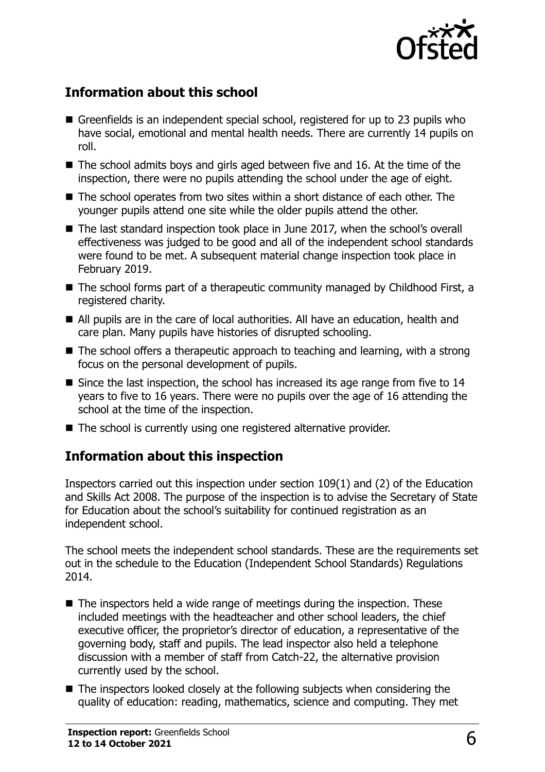

## **Information about this school**

- Greenfields is an independent special school, registered for up to 23 pupils who have social, emotional and mental health needs. There are currently 14 pupils on roll.
- $\blacksquare$  The school admits boys and girls aged between five and 16. At the time of the inspection, there were no pupils attending the school under the age of eight.
- The school operates from two sites within a short distance of each other. The younger pupils attend one site while the older pupils attend the other.
- The last standard inspection took place in June 2017, when the school's overall effectiveness was judged to be good and all of the independent school standards were found to be met. A subsequent material change inspection took place in February 2019.
- The school forms part of a therapeutic community managed by Childhood First, a registered charity.
- All pupils are in the care of local authorities. All have an education, health and care plan. Many pupils have histories of disrupted schooling.
- The school offers a therapeutic approach to teaching and learning, with a strong focus on the personal development of pupils.
- Since the last inspection, the school has increased its age range from five to 14 years to five to 16 years. There were no pupils over the age of 16 attending the school at the time of the inspection.
- The school is currently using one registered alternative provider.

### **Information about this inspection**

Inspectors carried out this inspection under section 109(1) and (2) of the Education and Skills Act 2008. The purpose of the inspection is to advise the Secretary of State for Education about the school's suitability for continued registration as an independent school.

The school meets the independent school standards. These are the requirements set out in the schedule to the Education (Independent School Standards) Regulations 2014.

- The inspectors held a wide range of meetings during the inspection. These included meetings with the headteacher and other school leaders, the chief executive officer, the proprietor's director of education, a representative of the governing body, staff and pupils. The lead inspector also held a telephone discussion with a member of staff from Catch-22, the alternative provision currently used by the school.
- The inspectors looked closely at the following subjects when considering the quality of education: reading, mathematics, science and computing. They met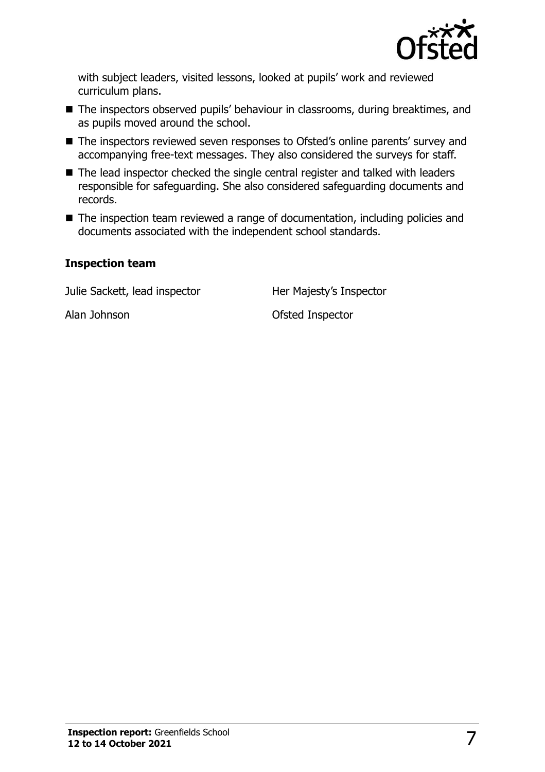

with subject leaders, visited lessons, looked at pupils' work and reviewed curriculum plans.

- The inspectors observed pupils' behaviour in classrooms, during breaktimes, and as pupils moved around the school.
- The inspectors reviewed seven responses to Ofsted's online parents' survey and accompanying free-text messages. They also considered the surveys for staff.
- The lead inspector checked the single central register and talked with leaders responsible for safeguarding. She also considered safeguarding documents and records.
- The inspection team reviewed a range of documentation, including policies and documents associated with the independent school standards.

#### **Inspection team**

Julie Sackett, lead inspector **Her Majesty's Inspector** 

Alan Johnson **Ofsted Inspector**